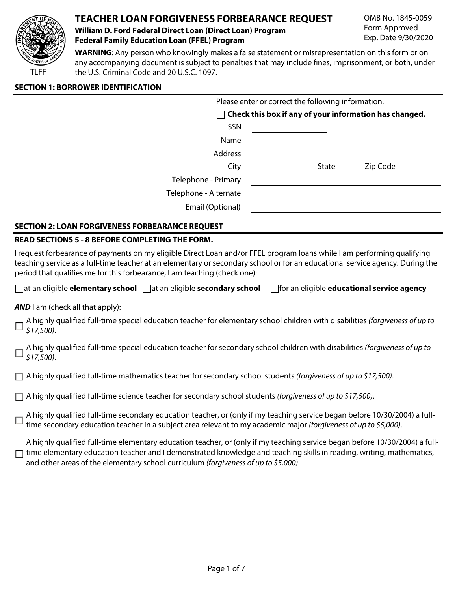

# **TEACHER LOAN FORGIVENESS FORBEARANCE REQUEST**

### **William D. Ford Federal Direct Loan (Direct Loan) Program Federal Family Education Loan (FFEL) Program**

OMB No. 1845-0059 Form Approved Exp. Date 9/30/2020

**WARNING**: Any person who knowingly makes a false statement or misrepresentation on this form or on any accompanying document is subject to penalties that may include fines, imprisonment, or both, under the U.S. Criminal Code and 20 U.S.C. 1097.

#### **SECTION 1: BORROWER IDENTIFICATION**

|                       | Please enter or correct the following information.     |
|-----------------------|--------------------------------------------------------|
| $\blacksquare$        | Check this box if any of your information has changed. |
| SSN                   |                                                        |
| Name                  |                                                        |
| Address               |                                                        |
| City                  | State<br>Zip Code                                      |
| Telephone - Primary   |                                                        |
| Telephone - Alternate |                                                        |
| Email (Optional)      |                                                        |
|                       |                                                        |

## **SECTION 2: LOAN FORGIVENESS FORBEARANCE REQUEST**

#### **READ SECTIONS 5 - 8 BEFORE COMPLETING THE FORM.**

I request forbearance of payments on my eligible Direct Loan and/or FFEL program loans while I am performing qualifying teaching service as a full-time teacher at an elementary or secondary school or for an educational service agency. During the period that qualifies me for this forbearance, I am teaching (check one):

|  | $\Box$ at an eligible <b>elementary school</b> $\Box$ at an eligible <b>secondary school</b> $\Box$ | $\Box$ for an eligible <b>educational service agency</b> |
|--|-----------------------------------------------------------------------------------------------------|----------------------------------------------------------|
|--|-----------------------------------------------------------------------------------------------------|----------------------------------------------------------|

**AND** I am (check all that apply):

A highly qualified full-time special education teacher for elementary school children with disabilities *(forgiveness of up to \$17,500)*.

A highly qualified full-time special education teacher for secondary school children with disabilities *(forgiveness of up to \$17,500)*.

A highly qualified full-time mathematics teacher for secondary school students *(forgiveness of up to \$17,500)*.

A highly qualified full-time science teacher for secondary school students *(forgiveness of up to \$17,500)*.

A highly qualified full-time secondary education teacher, or (only if my teaching service began before 10/30/2004) a fulltime secondary education teacher in a subject area relevant to my academic major *(forgiveness of up to \$5,000)*.

A highly qualified full-time elementary education teacher, or (only if my teaching service began before 10/30/2004) a full- $\Box$  time elementary education teacher and I demonstrated knowledge and teaching skills in reading, writing, mathematics, and other areas of the elementary school curriculum *(forgiveness of up to \$5,000)*.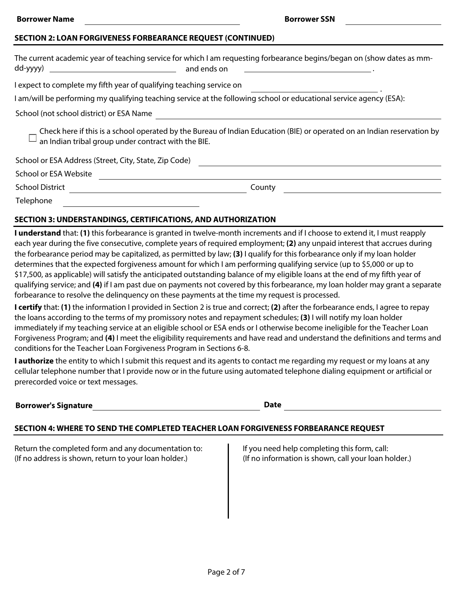#### **SECTION 2: LOAN FORGIVENESS FORBEARANCE REQUEST (CONTINUED)**

|                                                                      | The current academic year of teaching service for which I am requesting forbearance begins/began on (show dates as mm-  |
|----------------------------------------------------------------------|-------------------------------------------------------------------------------------------------------------------------|
|                                                                      | and ends on                                                                                                             |
| I expect to complete my fifth year of qualifying teaching service on |                                                                                                                         |
|                                                                      | I am/will be performing my qualifying teaching service at the following school or educational service agency (ESA):     |
| School (not school district) or ESA Name                             |                                                                                                                         |
| an Indian tribal group under contract with the BIE.                  | Check here if this is a school operated by the Bureau of Indian Education (BIE) or operated on an Indian reservation by |
| School or ESA Address (Street, City, State, Zip Code)                |                                                                                                                         |
| School or ESA Website                                                |                                                                                                                         |
| <b>School District</b>                                               | County                                                                                                                  |
| Telephone                                                            |                                                                                                                         |

#### **SECTION 3: UNDERSTANDINGS, CERTIFICATIONS, AND AUTHORIZATION**

**I understand** that: **(1)** this forbearance is granted in twelve-month increments and if I choose to extend it, I must reapply each year during the five consecutive, complete years of required employment; **(2)** any unpaid interest that accrues during the forbearance period may be capitalized, as permitted by law; **(3)** I qualify for this forbearance only if my loan holder determines that the expected forgiveness amount for which I am performing qualifying service (up to \$5,000 or up to \$17,500, as applicable) will satisfy the anticipated outstanding balance of my eligible loans at the end of my fifth year of qualifying service; and **(4)** if I am past due on payments not covered by this forbearance, my loan holder may grant a separate forbearance to resolve the delinquency on these payments at the time my request is processed.

**I certify** that: **(1)** the information I provided in Section 2 is true and correct; **(2)** after the forbearance ends, I agree to repay the loans according to the terms of my promissory notes and repayment schedules; **(3)** I will notify my loan holder immediately if my teaching service at an eligible school or ESA ends or I otherwise become ineligible for the Teacher Loan Forgiveness Program; and **(4)** I meet the eligibility requirements and have read and understand the definitions and terms and conditions for the Teacher Loan Forgiveness Program in Sections 6-8.

**I authorize** the entity to which I submit this request and its agents to contact me regarding my request or my loans at any cellular telephone number that I provide now or in the future using automated telephone dialing equipment or artificial or prerecorded voice or text messages.

| <b>Borrower's Signature</b> | <b>Date</b> |
|-----------------------------|-------------|
|                             |             |

#### **SECTION 4: WHERE TO SEND THE COMPLETED TEACHER LOAN FORGIVENESS FORBEARANCE REQUEST**

Return the completed form and any documentation to: (If no address is shown, return to your loan holder.)

If you need help completing this form, call: (If no information is shown, call your loan holder.)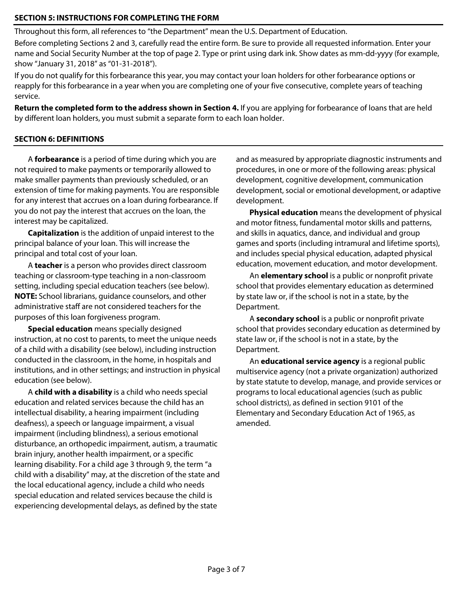## **SECTION 5: INSTRUCTIONS FOR COMPLETING THE FORM**

Throughout this form, all references to "the Department" mean the U.S. Department of Education.

Before completing Sections 2 and 3, carefully read the entire form. Be sure to provide all requested information. Enter your name and Social Security Number at the top of page 2. Type or print using dark ink. Show dates as mm-dd-yyyy (for example, show "January 31, 2018" as "01-31-2018").

If you do not qualify for this forbearance this year, you may contact your loan holders for other forbearance options or reapply for this forbearance in a year when you are completing one of your five consecutive, complete years of teaching service.

**Return the completed form to the address shown in Section 4.** If you are applying for forbearance of loans that are held by different loan holders, you must submit a separate form to each loan holder.

### **SECTION 6: DEFINITIONS**

A **forbearance** is a period of time during which you are not required to make payments or temporarily allowed to make smaller payments than previously scheduled, or an extension of time for making payments. You are responsible for any interest that accrues on a loan during forbearance. If you do not pay the interest that accrues on the loan, the interest may be capitalized.

**Capitalization** is the addition of unpaid interest to the principal balance of your loan. This will increase the principal and total cost of your loan.

A **teacher** is a person who provides direct classroom teaching or classroom-type teaching in a non-classroom setting, including special education teachers (see below). **NOTE:** School librarians, guidance counselors, and other administrative staff are not considered teachers for the purposes of this loan forgiveness program.

**Special education** means specially designed instruction, at no cost to parents, to meet the unique needs of a child with a disability (see below), including instruction conducted in the classroom, in the home, in hospitals and institutions, and in other settings; and instruction in physical education (see below).

A **child with a disability** is a child who needs special education and related services because the child has an intellectual disability, a hearing impairment (including deafness), a speech or language impairment, a visual impairment (including blindness), a serious emotional disturbance, an orthopedic impairment, autism, a traumatic brain injury, another health impairment, or a specific learning disability. For a child age 3 through 9, the term "a child with a disability" may, at the discretion of the state and the local educational agency, include a child who needs special education and related services because the child is experiencing developmental delays, as defined by the state

and as measured by appropriate diagnostic instruments and procedures, in one or more of the following areas: physical development, cognitive development, communication development, social or emotional development, or adaptive development.

**Physical education** means the development of physical and motor fitness, fundamental motor skills and patterns, and skills in aquatics, dance, and individual and group games and sports (including intramural and lifetime sports), and includes special physical education, adapted physical education, movement education, and motor development.

An **elementary school** is a public or nonprofit private school that provides elementary education as determined by state law or, if the school is not in a state, by the Department.

A **secondary school** is a public or nonprofit private school that provides secondary education as determined by state law or, if the school is not in a state, by the Department.

An **educational service agency** is a regional public multiservice agency (not a private organization) authorized by state statute to develop, manage, and provide services or programs to local educational agencies (such as public school districts), as defined in section 9101 of the Elementary and Secondary Education Act of 1965, as amended.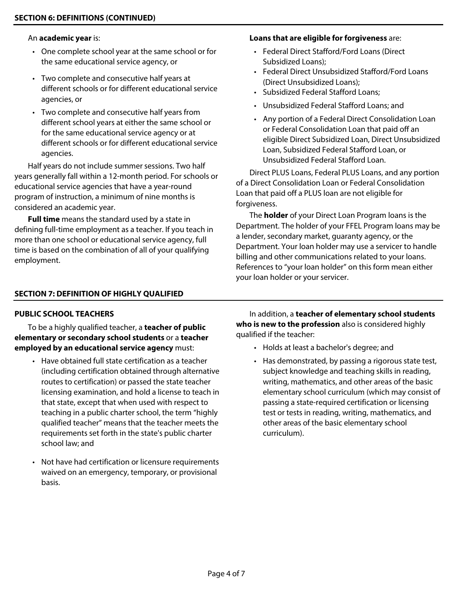#### An **academic year** is:

- One complete school year at the same school or for the same educational service agency, or
- Two complete and consecutive half years at different schools or for different educational service agencies, or
- Two complete and consecutive half years from different school years at either the same school or for the same educational service agency or at different schools or for different educational service agencies.

Half years do not include summer sessions. Two half years generally fall within a 12-month period. For schools or educational service agencies that have a year-round program of instruction, a minimum of nine months is considered an academic year.

**Full time** means the standard used by a state in defining full-time employment as a teacher. If you teach in more than one school or educational service agency, full time is based on the combination of all of your qualifying employment.

# **Loans that are eligible for forgiveness** are:

- Federal Direct Stafford/Ford Loans (Direct Subsidized Loans);
- Federal Direct Unsubsidized Stafford/Ford Loans (Direct Unsubsidized Loans);
- Subsidized Federal Stafford Loans;
- Unsubsidized Federal Stafford Loans; and
- Any portion of a Federal Direct Consolidation Loan or Federal Consolidation Loan that paid off an eligible Direct Subsidized Loan, Direct Unsubsidized Loan, Subsidized Federal Stafford Loan, or Unsubsidized Federal Stafford Loan.

Direct PLUS Loans, Federal PLUS Loans, and any portion of a Direct Consolidation Loan or Federal Consolidation Loan that paid off a PLUS loan are not eligible for forgiveness.

The **holder** of your Direct Loan Program loans is the Department. The holder of your FFEL Program loans may be a lender, secondary market, guaranty agency, or the Department. Your loan holder may use a servicer to handle billing and other communications related to your loans. References to "your loan holder" on this form mean either your loan holder or your servicer.

## **SECTION 7: DEFINITION OF HIGHLY QUALIFIED**

# **PUBLIC SCHOOL TEACHERS**

 To be a highly qualified teacher, a **teacher of public elementary or secondary school students** or a **teacher employed by an educational service agency** must:

- Have obtained full state certification as a teacher (including certification obtained through alternative routes to certification) or passed the state teacher licensing examination, and hold a license to teach in that state, except that when used with respect to teaching in a public charter school, the term "highly qualified teacher" means that the teacher meets the requirements set forth in the state's public charter school law; and
- Not have had certification or licensure requirements waived on an emergency, temporary, or provisional basis.

 In addition, a **teacher of elementary school students who is new to the profession** also is considered highly qualified if the teacher:

- Holds at least a bachelor's degree; and
- Has demonstrated, by passing a rigorous state test, subject knowledge and teaching skills in reading, writing, mathematics, and other areas of the basic elementary school curriculum (which may consist of passing a state-required certification or licensing test or tests in reading, writing, mathematics, and other areas of the basic elementary school curriculum).

j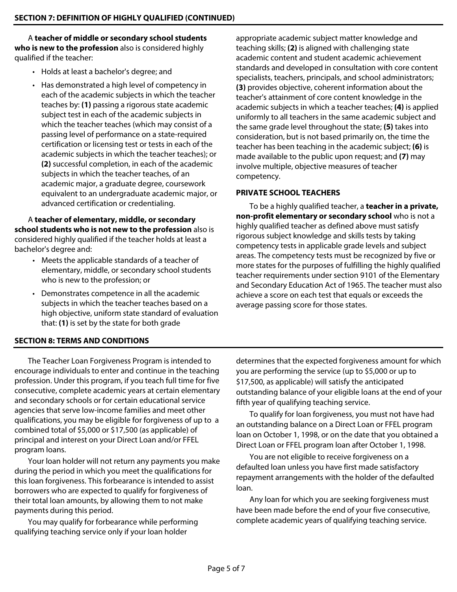A **teacher of middle or secondary school students who is new to the profession** also is considered highly qualified if the teacher:

- Holds at least a bachelor's degree; and
- Has demonstrated a high level of competency in each of the academic subjects in which the teacher teaches by: **(1)** passing a rigorous state academic subject test in each of the academic subjects in which the teacher teaches (which may consist of a passing level of performance on a state-required certification or licensing test or tests in each of the academic subjects in which the teacher teaches); or **(2)** successful completion, in each of the academic subjects in which the teacher teaches, of an academic major, a graduate degree, coursework equivalent to an undergraduate academic major, or advanced certification or credentialing.

 A **teacher of elementary, middle, or secondary school students who is not new to the profession** also is considered highly qualified if the teacher holds at least a bachelor's degree and:

- Meets the applicable standards of a teacher of elementary, middle, or secondary school students who is new to the profession; or
- Demonstrates competence in all the academic subjects in which the teacher teaches based on a high objective, uniform state standard of evaluation that: **(1)** is set by the state for both grade

appropriate academic subject matter knowledge and teaching skills; **(2)** is aligned with challenging state academic content and student academic achievement standards and developed in consultation with core content specialists, teachers, principals, and school administrators; **(3)** provides objective, coherent information about the teacher's attainment of core content knowledge in the academic subjects in which a teacher teaches; **(4)** is applied uniformly to all teachers in the same academic subject and the same grade level throughout the state; **(5)** takes into consideration, but is not based primarily on, the time the teacher has been teaching in the academic subject; **(6)** is made available to the public upon request; and **(7)** may involve multiple, objective measures of teacher competency.

## **PRIVATE SCHOOL TEACHERS**

 To be a highly qualified teacher, a **teacher in a private, non-profit elementary or secondary school** who is not a highly qualified teacher as defined above must satisfy rigorous subject knowledge and skills tests by taking competency tests in applicable grade levels and subject areas. The competency tests must be recognized by five or more states for the purposes of fulfilling the highly qualified teacher requirements under section 9101 of the Elementary and Secondary Education Act of 1965. The teacher must also achieve a score on each test that equals or exceeds the average passing score for those states.

#### **SECTION 8: TERMS AND CONDITIONS**

The Teacher Loan Forgiveness Program is intended to encourage individuals to enter and continue in the teaching profession. Under this program, if you teach full time for five consecutive, complete academic years at certain elementary and secondary schools or for certain educational service agencies that serve low-income families and meet other qualifications, you may be eligible for forgiveness of up to a combined total of \$5,000 or \$17,500 (as applicable) of principal and interest on your Direct Loan and/or FFEL program loans.

Your loan holder will not return any payments you make during the period in which you meet the qualifications for this loan forgiveness. This forbearance is intended to assist borrowers who are expected to qualify for forgiveness of their total loan amounts, by allowing them to not make payments during this period.

You may qualify for forbearance while performing qualifying teaching service only if your loan holder

determines that the expected forgiveness amount for which you are performing the service (up to \$5,000 or up to \$17,500, as applicable) will satisfy the anticipated outstanding balance of your eligible loans at the end of your fifth year of qualifying teaching service.

To qualify for loan forgiveness, you must not have had an outstanding balance on a Direct Loan or FFEL program loan on October 1, 1998, or on the date that you obtained a Direct Loan or FFEL program loan after October 1, 1998.

You are not eligible to receive forgiveness on a defaulted loan unless you have first made satisfactory repayment arrangements with the holder of the defaulted loan.

Any loan for which you are seeking forgiveness must have been made before the end of your five consecutive, complete academic years of qualifying teaching service.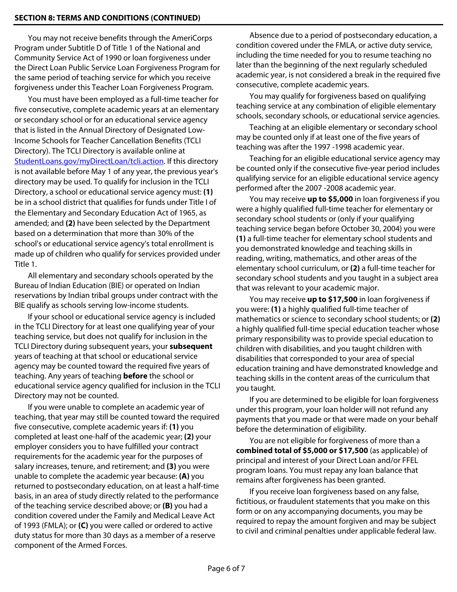You may not receive benefits through the AmeriCorps Program under Subtitle D of Title 1 of the National and Community Service Act of 1990 or loan forgiveness under the Direct Loan Public Service Loan Forgiveness Program for the same period of teaching service for which you receive forgiveness under this Teacher Loan Forgiveness Program.

You must have been employed as a full-time teacher for five consecutive, complete academic years at an elementary or secondary school or for an educational service agency that is listed in the Annual Directory of Designated Low-Income Schools for Teacher Cancellation Benefits (TCLI Directory). The TCLI Directory is available online at [StudentLoans.gov/myDirectLoan/tcli.action](https://studentloans.gov/myDirectLoan/tcli.action). If this directory is not available before May 1 of any year, the previous year's directory may be used. To qualify for inclusion in the TCLI Directory, a school or educational service agency must: **(1)** be in a school district that qualifies for funds under Title I of the Elementary and Secondary Education Act of 1965, as amended; and **(2)** have been selected by the Department based on a determination that more than 30% of the school's or educational service agency's total enrollment is made up of children who qualify for services provided under Title 1.

All elementary and secondary schools operated by the Bureau of Indian Education (BIE) or operated on Indian reservations by Indian tribal groups under contract with the BIE qualify as schools serving low-income students.

If your school or educational service agency is included in the TCLI Directory for at least one qualifying year of your teaching service, but does not qualify for inclusion in the TCLI Directory during subsequent years, your **subsequent** years of teaching at that school or educational service agency may be counted toward the required five years of teaching. Any years of teaching **before** the school or educational service agency qualified for inclusion in the TCLI Directory may not be counted.

If you were unable to complete an academic year of teaching, that year may still be counted toward the required five consecutive, complete academic years if: **(1)** you completed at least one-half of the academic year; **(2)** your employer considers you to have fulfilled your contract requirements for the academic year for the purposes of salary increases, tenure, and retirement; and **(3)** you were unable to complete the academic year because: **(A)** you returned to postsecondary education, on at least a half-time basis, in an area of study directly related to the performance of the teaching service described above; or **(B)** you had a condition covered under the Family and Medical Leave Act of 1993 (FMLA); or **(C)** you were called or ordered to active duty status for more than 30 days as a member of a reserve component of the Armed Forces.

Absence due to a period of postsecondary education, a condition covered under the FMLA, or active duty service, including the time needed for you to resume teaching no later than the beginning of the next regularly scheduled academic year, is not considered a break in the required five consecutive, complete academic years.

You may qualify for forgiveness based on qualifying teaching service at any combination of eligible elementary schools, secondary schools, or educational service agencies.

Teaching at an eligible elementary or secondary school may be counted only if at least one of the five years of teaching was after the 1997 -1998 academic year.

Teaching for an eligible educational service agency may be counted only if the consecutive five-year period includes qualifying service for an eligible educational service agency performed after the 2007 -2008 academic year.

You may receive **up to \$5,000** in loan forgiveness if you were a highly qualified full-time teacher for elementary or secondary school students or (only if your qualifying teaching service began before October 30, 2004) you were **(1)** a full-time teacher for elementary school students and you demonstrated knowledge and teaching skills in reading, writing, mathematics, and other areas of the elementary school curriculum, or **(2)** a full-time teacher for secondary school students and you taught in a subject area that was relevant to your academic major.

You may receive **up to \$17,500** in loan forgiveness if you were: **(1)** a highly qualified full-time teacher of mathematics or science to secondary school students; or **(2)** a highly qualified full-time special education teacher whose primary responsibility was to provide special education to children with disabilities, and you taught children with disabilities that corresponded to your area of special education training and have demonstrated knowledge and teaching skills in the content areas of the curriculum that you taught.

If you are determined to be eligible for loan forgiveness under this program, your loan holder will not refund any payments that you made or that were made on your behalf before the determination of eligibility.

You are not eligible for forgiveness of more than a **combined total of \$5,000 or \$17,500** (as applicable) of principal and interest of your Direct Loan and/or FFEL program loans. You must repay any loan balance that remains after forgiveness has been granted.

If you receive loan forgiveness based on any false, fictitious, or fraudulent statements that you make on this form or on any accompanying documents, you may be required to repay the amount forgiven and may be subject to civil and criminal penalties under applicable federal law.